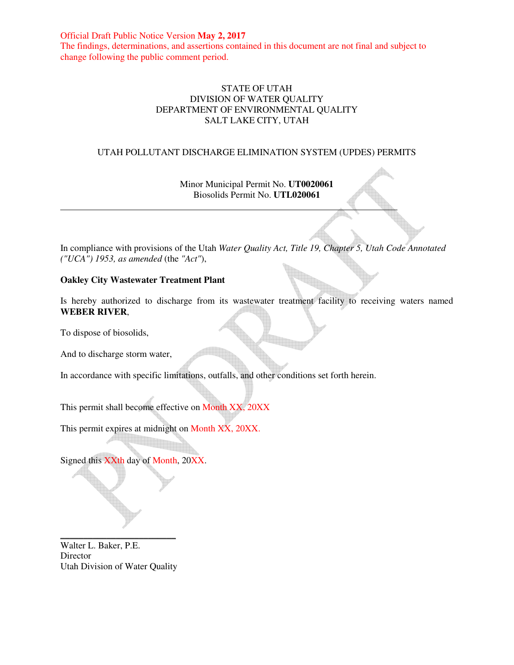Official Draft Public Notice Version **May 2, 2017** The findings, determinations, and assertions contained in this document are not final and subject to change following the public comment period.

#### STATE OF UTAH DIVISION OF WATER QUALITY DEPARTMENT OF ENVIRONMENTAL QUALITY SALT LAKE CITY, UTAH

#### UTAH POLLUTANT DISCHARGE ELIMINATION SYSTEM (UPDES) PERMITS

Minor Municipal Permit No. **UT0020061** Biosolids Permit No. **UTL020061**

In compliance with provisions of the Utah *Water Quality Act, Title 19, Chapter 5, Utah Code Annotated ("UCA") 1953, as amended* (the *"Act"*),

#### **Oakley City Wastewater Treatment Plant**

Is hereby authorized to discharge from its wastewater treatment facility to receiving waters named **WEBER RIVER**,

To dispose of biosolids,

And to discharge storm water,

In accordance with specific limitations, outfalls, and other conditions set forth herein.

This permit shall become effective on Month XX, 20XX

This permit expires at midnight on Month XX, 20XX.

Signed this XXth day of Month, 20XX.

Walter L. Baker, P.E. Director Utah Division of Water Quality

\_\_\_\_\_\_\_\_\_\_\_\_\_\_\_\_\_\_\_\_\_\_\_\_\_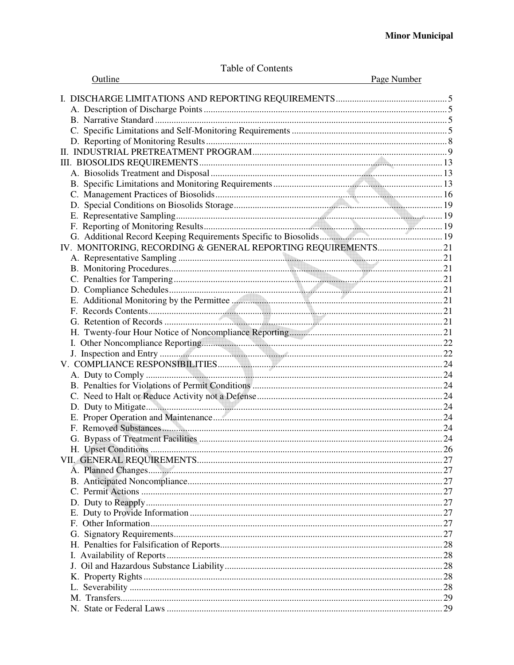| Outline                                                      | Page Number |
|--------------------------------------------------------------|-------------|
|                                                              |             |
|                                                              |             |
|                                                              |             |
|                                                              |             |
|                                                              |             |
|                                                              |             |
|                                                              |             |
|                                                              |             |
|                                                              |             |
|                                                              |             |
|                                                              |             |
|                                                              |             |
|                                                              |             |
|                                                              |             |
|                                                              |             |
| IV. MONITORING, RECORDING & GENERAL REPORTING REQUIREMENTS21 |             |
|                                                              |             |
|                                                              |             |
|                                                              |             |
|                                                              |             |
|                                                              |             |
|                                                              |             |
|                                                              |             |
|                                                              |             |
|                                                              |             |
|                                                              |             |
|                                                              |             |
|                                                              |             |
|                                                              |             |
|                                                              |             |
|                                                              |             |
|                                                              |             |
|                                                              |             |
|                                                              |             |
| H. Upset Conditions                                          | 26          |
|                                                              |             |
|                                                              |             |
|                                                              |             |
|                                                              |             |
|                                                              |             |
|                                                              |             |
|                                                              |             |
|                                                              |             |
|                                                              |             |
|                                                              |             |
|                                                              |             |
|                                                              |             |
|                                                              |             |
|                                                              |             |
|                                                              |             |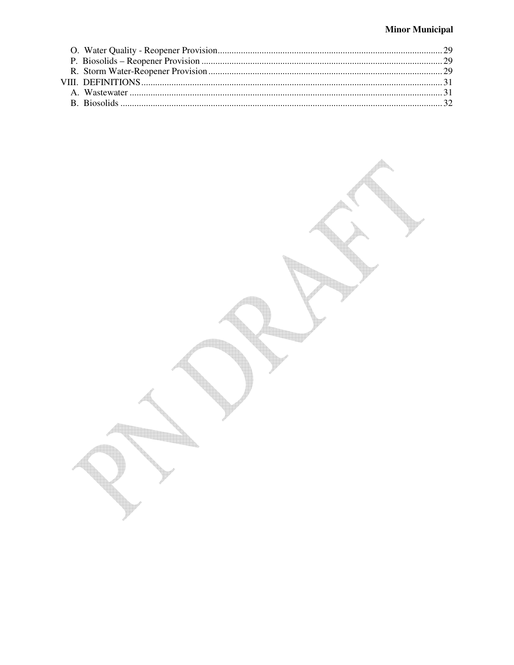# **Minor Municipal**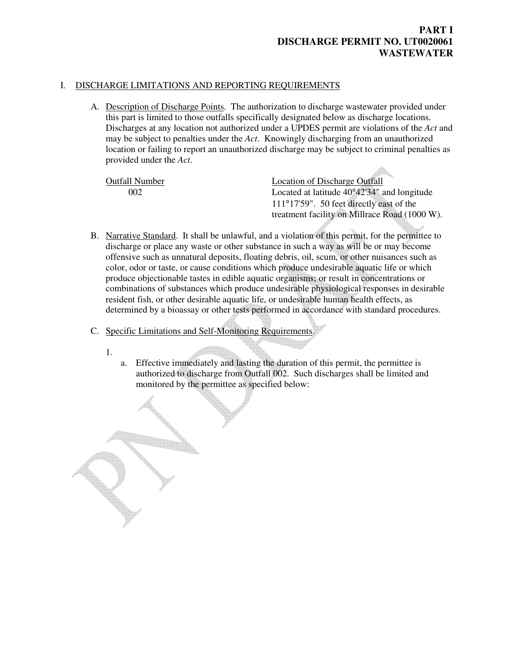#### I. DISCHARGE LIMITATIONS AND REPORTING REQUIREMENTS

A. Description of Discharge Points. The authorization to discharge wastewater provided under this part is limited to those outfalls specifically designated below as discharge locations. Discharges at any location not authorized under a UPDES permit are violations of the *Act* and may be subject to penalties under the *Act*. Knowingly discharging from an unauthorized location or failing to report an unauthorized discharge may be subject to criminal penalties as provided under the *Act*.

Outfall Number Location of Discharge Outfall 002 Located at latitude 40°42'34" and longitude 111°17'59". 50 feet directly east of the treatment facility on Millrace Road (1000 W).

- B. Narrative Standard. It shall be unlawful, and a violation of this permit, for the permittee to discharge or place any waste or other substance in such a way as will be or may become offensive such as unnatural deposits, floating debris, oil, scum, or other nuisances such as color, odor or taste, or cause conditions which produce undesirable aquatic life or which produce objectionable tastes in edible aquatic organisms; or result in concentrations or combinations of substances which produce undesirable physiological responses in desirable resident fish, or other desirable aquatic life, or undesirable human health effects, as determined by a bioassay or other tests performed in accordance with standard procedures.
- C. Specific Limitations and Self-Monitoring Requirements.
	- 1.
- a. Effective immediately and lasting the duration of this permit, the permittee is authorized to discharge from Outfall 002. Such discharges shall be limited and monitored by the permittee as specified below: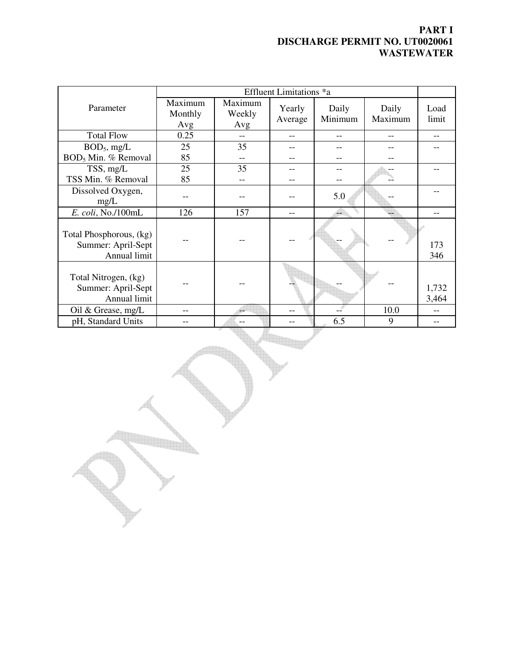|                                                               | Effluent Limitations *a   |                          |                   |                  |                  |                |
|---------------------------------------------------------------|---------------------------|--------------------------|-------------------|------------------|------------------|----------------|
| Parameter                                                     | Maximum<br>Monthly<br>Avg | Maximum<br>Weekly<br>Avg | Yearly<br>Average | Daily<br>Minimum | Daily<br>Maximum | Load<br>limit  |
| <b>Total Flow</b>                                             | 0.25                      |                          |                   |                  |                  |                |
| $BOD5$ , mg/L                                                 | 25                        | 35                       |                   |                  |                  |                |
| BOD <sub>5</sub> Min. % Removal                               | 85                        |                          |                   |                  |                  |                |
| TSS, mg/L                                                     | 25                        | 35                       |                   |                  |                  |                |
| TSS Min. % Removal                                            | 85                        |                          |                   |                  |                  |                |
| Dissolved Oxygen,<br>mg/L                                     |                           |                          |                   | 5.0              |                  |                |
| E. coli, No./100mL                                            | 126                       | 157                      |                   |                  |                  |                |
| Total Phosphorous, (kg)<br>Summer: April-Sept<br>Annual limit |                           |                          |                   |                  |                  | 173<br>346     |
| Total Nitrogen, (kg)<br>Summer: April-Sept<br>Annual limit    |                           |                          |                   |                  |                  | 1,732<br>3,464 |
| Oil & Grease, mg/L                                            |                           |                          |                   |                  | 10.0             |                |
| pH, Standard Units                                            |                           | --                       |                   | 6.5              | 9                |                |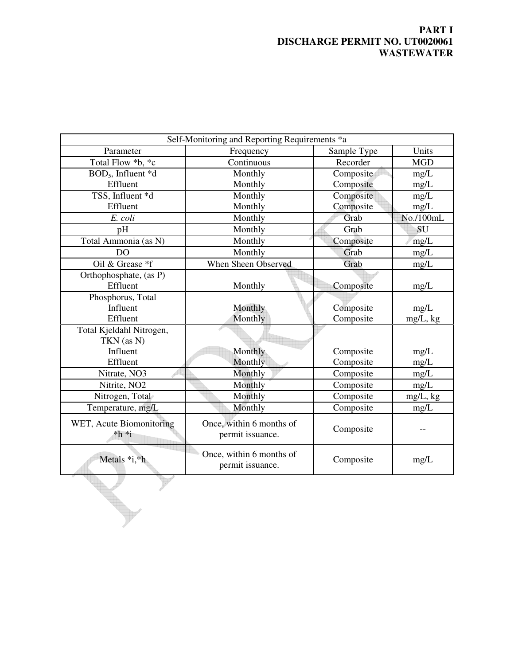| Self-Monitoring and Reporting Requirements *a |                          |             |             |
|-----------------------------------------------|--------------------------|-------------|-------------|
| Parameter                                     | Frequency                | Sample Type | Units       |
| Total Flow *b, *c                             | Continuous               | Recorder    | <b>MGD</b>  |
| BOD <sub>5</sub> , Influent *d                | Monthly                  | Composite   | mg/L        |
| Effluent                                      | Monthly                  | Composite   | mg/L        |
| TSS, Influent *d                              | Monthly                  | Composite   | mg/L        |
| Effluent                                      | Monthly                  | Composite   | mg/L        |
| E. coli                                       | Monthly                  | Grab        | No./100mL   |
| pH                                            | Monthly                  | Grab        | SU          |
| Total Ammonia (as N)                          | Monthly                  | Composite   | mg/L        |
| D <sub>O</sub>                                | Monthly                  | Grab        | mg/L        |
| Oil & Grease *f                               | When Sheen Observed      | Grab        | mg/L        |
| Orthophosphate, (as P)                        |                          |             |             |
| Effluent                                      | Monthly                  | Composite   | mg/L        |
| Phosphorus, Total                             |                          |             |             |
| Influent                                      | Monthly                  | Composite   | mg/L        |
| Effluent                                      | Monthly                  | Composite   | mg/L, kg    |
| Total Kjeldahl Nitrogen,                      |                          |             |             |
| TKN (as N)                                    |                          |             |             |
| Influent                                      | Monthly                  | Composite   | mg/L        |
| Effluent                                      | Monthly                  | Composite   | mg/L        |
| Nitrate, NO3                                  | Monthly                  | Composite   | mg/L        |
| Nitrite, NO <sub>2</sub>                      | Monthly                  | Composite   | mg/L        |
| Nitrogen, Total                               | Monthly                  | Composite   | $mg/L$ , kg |
| Temperature, mg/L                             | Monthly                  | Composite   | mg/L        |
| WET, Acute Biomonitoring                      | Once, within 6 months of |             |             |
| $*h *i$                                       | permit issuance.         | Composite   |             |
|                                               | Once, within 6 months of |             |             |
| Metals *i,*h                                  | permit issuance.         | Composite   | mg/L        |
|                                               |                          |             |             |
|                                               |                          |             |             |
|                                               |                          |             |             |
|                                               |                          |             |             |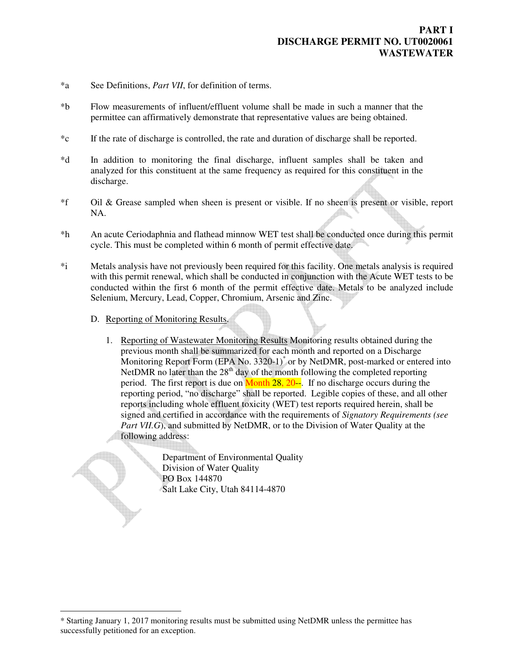- \*a See Definitions, *Part VII*, for definition of terms.
- \*b Flow measurements of influent/effluent volume shall be made in such a manner that the permittee can affirmatively demonstrate that representative values are being obtained.
- \*c If the rate of discharge is controlled, the rate and duration of discharge shall be reported.
- \*d In addition to monitoring the final discharge, influent samples shall be taken and analyzed for this constituent at the same frequency as required for this constituent in the discharge.
- \*f Oil & Grease sampled when sheen is present or visible. If no sheen is present or visible, report NA.
- \*h An acute Ceriodaphnia and flathead minnow WET test shall be conducted once during this permit cycle. This must be completed within 6 month of permit effective date.
- \*i Metals analysis have not previously been required for this facility. One metals analysis is required with this permit renewal, which shall be conducted in conjunction with the Acute WET tests to be conducted within the first 6 month of the permit effective date. Metals to be analyzed include Selenium, Mercury, Lead, Copper, Chromium, Arsenic and Zinc.
	- D. Reporting of Monitoring Results.

 $\overline{a}$ 

1. Reporting of Wastewater Monitoring Results Monitoring results obtained during the previous month shall be summarized for each month and reported on a Discharge Monitoring Report Form (EPA No. 3320-1)<sup>\*</sup> or by NetDMR, post-marked or entered into NetDMR no later than the  $28<sup>th</sup>$  day of the month following the completed reporting period. The first report is due on Month 28, 20--. If no discharge occurs during the reporting period, "no discharge" shall be reported. Legible copies of these, and all other reports including whole effluent toxicity (WET) test reports required herein, shall be signed and certified in accordance with the requirements of *Signatory Requirements (see*  Part VII.G), and submitted by NetDMR, or to the Division of Water Quality at the following address:

> Department of Environmental Quality Division of Water Quality PO Box 144870 Salt Lake City, Utah 84114-4870

<sup>\*</sup> Starting January 1, 2017 monitoring results must be submitted using NetDMR unless the permittee has successfully petitioned for an exception.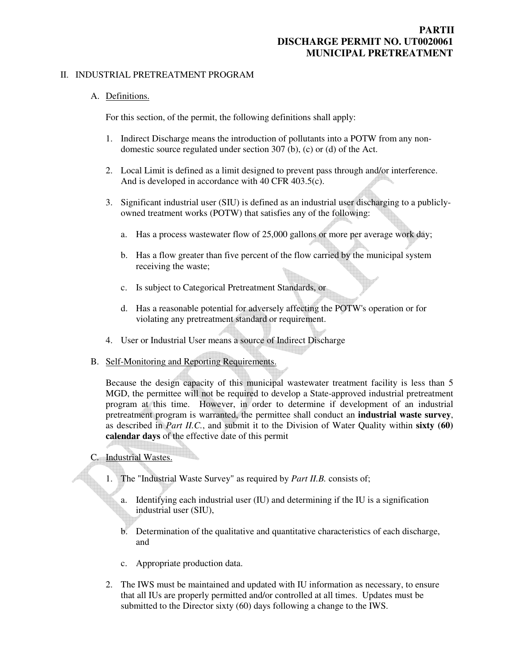#### II. INDUSTRIAL PRETREATMENT PROGRAM

#### A. Definitions.

For this section, of the permit, the following definitions shall apply:

- 1. Indirect Discharge means the introduction of pollutants into a POTW from any nondomestic source regulated under section 307 (b), (c) or (d) of the Act.
- 2. Local Limit is defined as a limit designed to prevent pass through and/or interference. And is developed in accordance with 40 CFR 403.5(c).
- 3. Significant industrial user (SIU) is defined as an industrial user discharging to a publiclyowned treatment works (POTW) that satisfies any of the following:
	- a. Has a process wastewater flow of 25,000 gallons or more per average work day;
	- b. Has a flow greater than five percent of the flow carried by the municipal system receiving the waste;
	- c. Is subject to Categorical Pretreatment Standards, or
	- d. Has a reasonable potential for adversely affecting the POTW's operation or for violating any pretreatment standard or requirement.
- 4. User or Industrial User means a source of Indirect Discharge
- B. Self-Monitoring and Reporting Requirements.

Because the design capacity of this municipal wastewater treatment facility is less than 5 MGD, the permittee will not be required to develop a State-approved industrial pretreatment program at this time. However, in order to determine if development of an industrial pretreatment program is warranted, the permittee shall conduct an **industrial waste survey**, as described in *Part II.C.*, and submit it to the Division of Water Quality within **sixty (60) calendar days** of the effective date of this permit

C. Industrial Wastes.

- 1. The "Industrial Waste Survey" as required by *Part II.B.* consists of;
	- a. Identifying each industrial user (IU) and determining if the IU is a signification industrial user (SIU),
	- b. Determination of the qualitative and quantitative characteristics of each discharge, and
	- c. Appropriate production data.
- 2. The IWS must be maintained and updated with IU information as necessary, to ensure that all IUs are properly permitted and/or controlled at all times. Updates must be submitted to the Director sixty (60) days following a change to the IWS.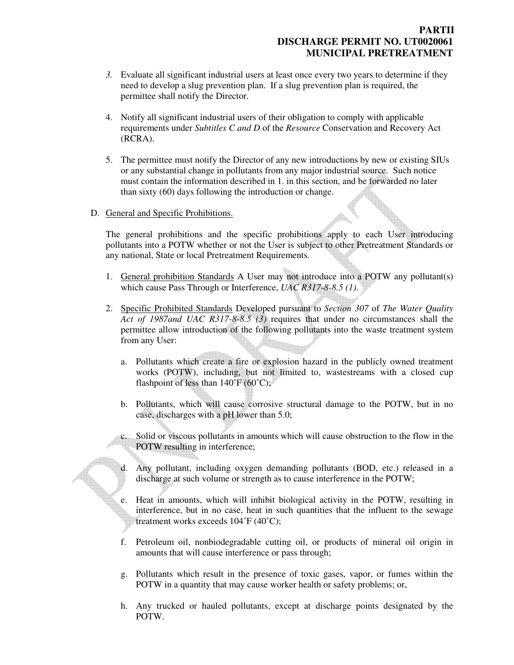### **PARTII DISCHARGE PERMIT NO. UT0020061 MUNICIPAL PRETREATMENT**

- *3.* Evaluate all significant industrial users at least once every two years to determine if they need to develop a slug prevention plan. If a slug prevention plan is required, the permittee shall notify the Director.
- 4. Notify all significant industrial users of their obligation to comply with applicable requirements under *Subtitles C and D* of the *Resource* Conservation and Recovery Act (RCRA).
- 5. The permittee must notify the Director of any new introductions by new or existing SIUs or any substantial change in pollutants from any major industrial source. Such notice must contain the information described in 1. in this section, and be forwarded no later than sixty (60) days following the introduction or change.
- D. General and Specific Prohibitions.

The general prohibitions and the specific prohibitions apply to each User introducing pollutants into a POTW whether or not the User is subject to other Pretreatment Standards or any national, State or local Pretreatment Requirements.

- 1. General prohibition Standards A User may not introduce into a POTW any pollutant(s) which cause Pass Through or Interference, *UAC R317-8-8.5 (1)*.
- 2. Specific Prohibited Standards Developed pursuant to *Section 307* of *The Water Quality Act of 1987and UAC R317-8-8.5 (3)* requires that under no circumstances shall the permittee allow introduction of the following pollutants into the waste treatment system from any User:
	- a. Pollutants which create a fire or explosion hazard in the publicly owned treatment works (POTW), including, but not limited to, wastestreams with a closed cup flashpoint of less than  $140^{\circ}F(60^{\circ}C)$ ;
	- b. Pollutants, which will cause corrosive structural damage to the POTW, but in no case, discharges with a pH lower than 5.0;
	- c. Solid or viscous pollutants in amounts which will cause obstruction to the flow in the POTW resulting in interference;
	- d. Any pollutant, including oxygen demanding pollutants (BOD, etc.) released in a discharge at such volume or strength as to cause interference in the POTW;
	- e. Heat in amounts, which will inhibit biological activity in the POTW, resulting in interference, but in no case, heat in such quantities that the influent to the sewage treatment works exceeds 104˚F (40˚C);
	- f. Petroleum oil, nonbiodegradable cutting oil, or products of mineral oil origin in amounts that will cause interference or pass through;
	- g. Pollutants which result in the presence of toxic gases, vapor, or fumes within the POTW in a quantity that may cause worker health or safety problems; or,
	- h. Any trucked or hauled pollutants, except at discharge points designated by the POTW.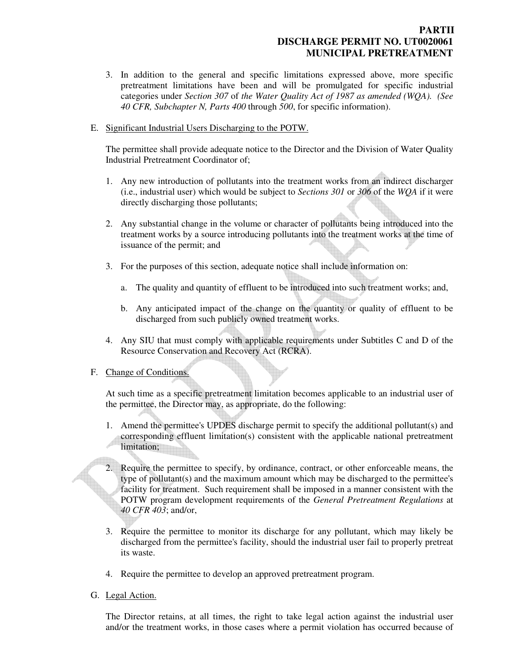### **PARTII DISCHARGE PERMIT NO. UT0020061 MUNICIPAL PRETREATMENT**

- 3. In addition to the general and specific limitations expressed above, more specific pretreatment limitations have been and will be promulgated for specific industrial categories under *Section 307* of *the Water Quality Act of 1987 as amended (WQA). (See 40 CFR, Subchapter N, Parts 400* through *500*, for specific information).
- E. Significant Industrial Users Discharging to the POTW.

The permittee shall provide adequate notice to the Director and the Division of Water Quality Industrial Pretreatment Coordinator of;

- 1. Any new introduction of pollutants into the treatment works from an indirect discharger (i.e., industrial user) which would be subject to *Sections 301* or *306* of the *WQA* if it were directly discharging those pollutants;
- 2. Any substantial change in the volume or character of pollutants being introduced into the treatment works by a source introducing pollutants into the treatment works at the time of issuance of the permit; and
- 3. For the purposes of this section, adequate notice shall include information on:
	- a. The quality and quantity of effluent to be introduced into such treatment works; and,
	- b. Any anticipated impact of the change on the quantity or quality of effluent to be discharged from such publicly owned treatment works.
- 4. Any SIU that must comply with applicable requirements under Subtitles C and D of the Resource Conservation and Recovery Act (RCRA).

#### F. Change of Conditions.

At such time as a specific pretreatment limitation becomes applicable to an industrial user of the permittee, the Director may, as appropriate, do the following:

- 1. Amend the permittee's UPDES discharge permit to specify the additional pollutant(s) and corresponding effluent limitation(s) consistent with the applicable national pretreatment limitation;
- 2. Require the permittee to specify, by ordinance, contract, or other enforceable means, the type of pollutant(s) and the maximum amount which may be discharged to the permittee's facility for treatment. Such requirement shall be imposed in a manner consistent with the POTW program development requirements of the *General Pretreatment Regulations* at *40 CFR 403*; and/or,
- 3. Require the permittee to monitor its discharge for any pollutant, which may likely be discharged from the permittee's facility, should the industrial user fail to properly pretreat its waste.
- 4. Require the permittee to develop an approved pretreatment program.
- G. Legal Action.

The Director retains, at all times, the right to take legal action against the industrial user and/or the treatment works, in those cases where a permit violation has occurred because of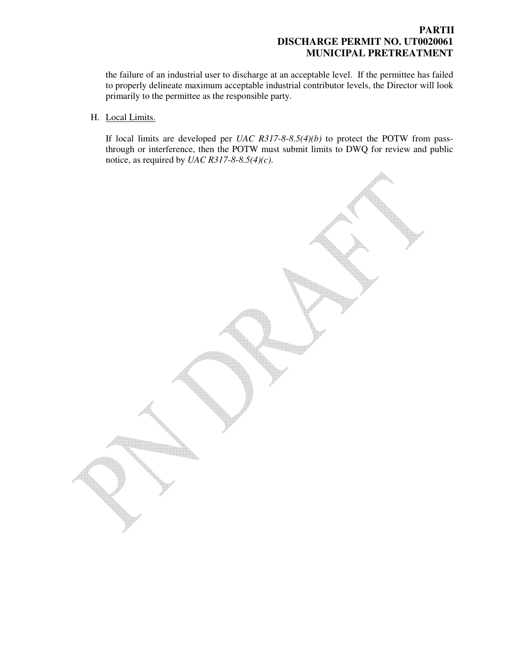### **PARTII DISCHARGE PERMIT NO. UT0020061 MUNICIPAL PRETREATMENT**

the failure of an industrial user to discharge at an acceptable level. If the permittee has failed to properly delineate maximum acceptable industrial contributor levels, the Director will look primarily to the permittee as the responsible party.

H. Local Limits.

If local limits are developed per *UAC R317-8-8.5(4)(b)* to protect the POTW from passthrough or interference, then the POTW must submit limits to DWQ for review and public notice, as required by *UAC R317-8-8.5(4)(c)*.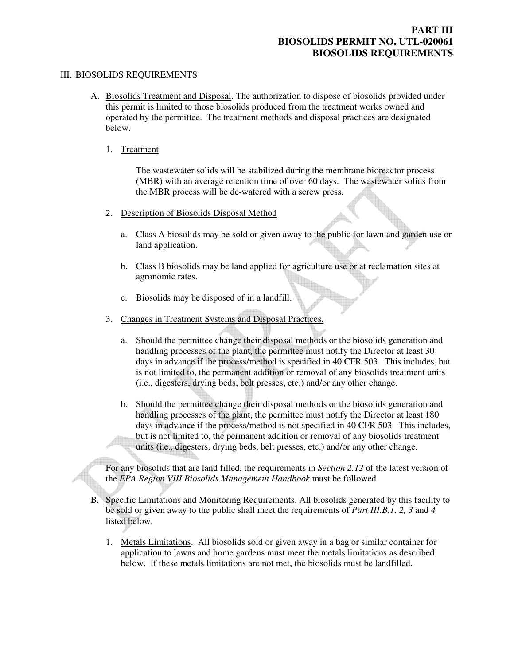#### III. BIOSOLIDS REQUIREMENTS

A. Biosolids Treatment and Disposal. The authorization to dispose of biosolids provided under this permit is limited to those biosolids produced from the treatment works owned and operated by the permittee. The treatment methods and disposal practices are designated below.

#### 1. Treatment

The wastewater solids will be stabilized during the membrane bioreactor process (MBR) with an average retention time of over 60 days. The wastewater solids from the MBR process will be de-watered with a screw press.

- 2. Description of Biosolids Disposal Method
	- a. Class A biosolids may be sold or given away to the public for lawn and garden use or land application.
	- b. Class B biosolids may be land applied for agriculture use or at reclamation sites at agronomic rates.
	- c. Biosolids may be disposed of in a landfill.
- 3. Changes in Treatment Systems and Disposal Practices.
	- a. Should the permittee change their disposal methods or the biosolids generation and handling processes of the plant, the permittee must notify the Director at least 30 days in advance if the process/method is specified in 40 CFR 503. This includes, but is not limited to, the permanent addition or removal of any biosolids treatment units (i.e., digesters, drying beds, belt presses, etc.) and/or any other change.
	- b. Should the permittee change their disposal methods or the biosolids generation and handling processes of the plant, the permittee must notify the Director at least 180 days in advance if the process/method is not specified in 40 CFR 503. This includes, but is not limited to, the permanent addition or removal of any biosolids treatment units (i.e., digesters, drying beds, belt presses, etc.) and/or any other change.

For any biosolids that are land filled, the requirements in *Section 2.12* of the latest version of the *EPA Region VIII Biosolids Management Handbook* must be followed

- B. Specific Limitations and Monitoring Requirements. All biosolids generated by this facility to be sold or given away to the public shall meet the requirements of *Part III.B.1, 2, 3* and *4* listed below.
	- 1. Metals Limitations. All biosolids sold or given away in a bag or similar container for application to lawns and home gardens must meet the metals limitations as described below. If these metals limitations are not met, the biosolids must be landfilled.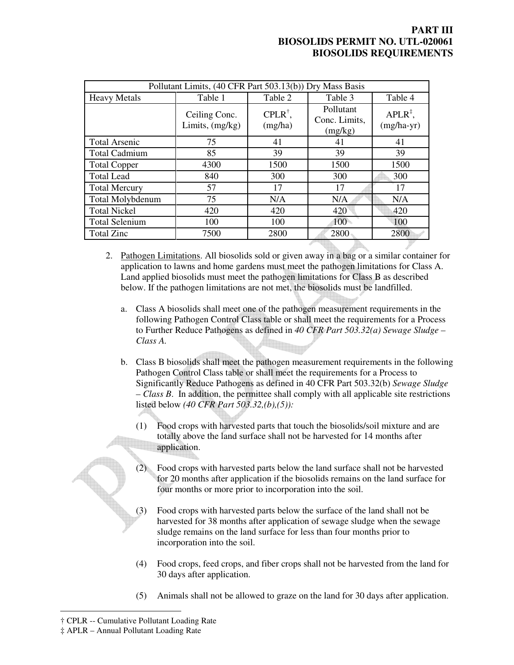| Pollutant Limits, (40 CFR Part 503.13(b)) Dry Mass Basis |                                    |                               |                                       |                                     |
|----------------------------------------------------------|------------------------------------|-------------------------------|---------------------------------------|-------------------------------------|
| <b>Heavy Metals</b>                                      | Table 1                            | Table 2                       | Table 3                               | Table 4                             |
|                                                          | Ceiling Conc.<br>Limits, $(mg/kg)$ | $CPLR^{\dagger}$ ,<br>(mg/ha) | Pollutant<br>Conc. Limits,<br>(mg/kg) | $APLR^{\ddagger}$ ,<br>$(mg/ha-yr)$ |
| <b>Total Arsenic</b>                                     | 75                                 | 41                            | 41                                    | 41                                  |
| <b>Total Cadmium</b>                                     | 85                                 | 39                            | 39                                    | 39                                  |
| <b>Total Copper</b>                                      | 4300                               | 1500                          | 1500                                  | 1500                                |
| <b>Total Lead</b>                                        | 840                                | 300                           | 300                                   | 300                                 |
| <b>Total Mercury</b>                                     | 57                                 | 17                            | 17                                    | 17                                  |
| Total Molybdenum                                         | 75                                 | N/A                           | N/A                                   | N/A                                 |
| <b>Total Nickel</b>                                      | 420                                | 420                           | 420                                   | 420                                 |
| <b>Total Selenium</b>                                    | 100                                | 100                           | 100                                   | 100                                 |
| <b>Total Zinc</b>                                        | 7500                               | 2800                          | 2800                                  | 2800                                |

2. Pathogen Limitations. All biosolids sold or given away in a bag or a similar container for application to lawns and home gardens must meet the pathogen limitations for Class A. Land applied biosolids must meet the pathogen limitations for Class B as described below. If the pathogen limitations are not met, the biosolids must be landfilled.

- a. Class A biosolids shall meet one of the pathogen measurement requirements in the following Pathogen Control Class table or shall meet the requirements for a Process to Further Reduce Pathogens as defined in *40 CFR Part 503.32(a) Sewage Sludge – Class A.*
- b. Class B biosolids shall meet the pathogen measurement requirements in the following Pathogen Control Class table or shall meet the requirements for a Process to Significantly Reduce Pathogens as defined in 40 CFR Part 503.32(b) *Sewage Sludge – Class B*. In addition, the permittee shall comply with all applicable site restrictions listed below *(40 CFR Part 503.32,(b),(5)):*
	- (1) Food crops with harvested parts that touch the biosolids/soil mixture and are totally above the land surface shall not be harvested for 14 months after application.
		- Food crops with harvested parts below the land surface shall not be harvested for 20 months after application if the biosolids remains on the land surface for four months or more prior to incorporation into the soil.
	- (3) Food crops with harvested parts below the surface of the land shall not be harvested for 38 months after application of sewage sludge when the sewage sludge remains on the land surface for less than four months prior to incorporation into the soil.
	- (4) Food crops, feed crops, and fiber crops shall not be harvested from the land for 30 days after application.
	- (5) Animals shall not be allowed to graze on the land for 30 days after application.

 $\overline{a}$ 

<sup>†</sup> CPLR -- Cumulative Pollutant Loading Rate

<sup>‡</sup> APLR – Annual Pollutant Loading Rate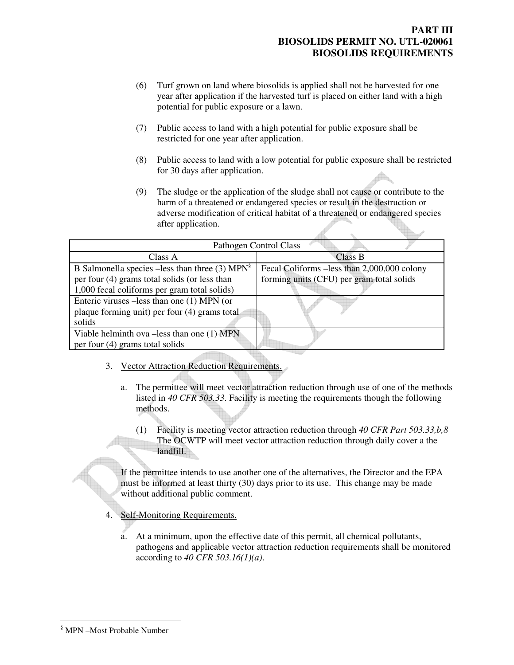- (6) Turf grown on land where biosolids is applied shall not be harvested for one year after application if the harvested turf is placed on either land with a high potential for public exposure or a lawn.
- (7) Public access to land with a high potential for public exposure shall be restricted for one year after application.
- (8) Public access to land with a low potential for public exposure shall be restricted for 30 days after application.
- (9) The sludge or the application of the sludge shall not cause or contribute to the harm of a threatened or endangered species or result in the destruction or adverse modification of critical habitat of a threatened or endangered species after application.

| Pathogen Control Class                                        |                                             |  |  |
|---------------------------------------------------------------|---------------------------------------------|--|--|
| Class A                                                       | <b>Class B</b>                              |  |  |
| B Salmonella species $-$ less than three (3) MPN <sup>s</sup> | Fecal Coliforms –less than 2,000,000 colony |  |  |
| per four (4) grams total solids (or less than                 | forming units (CFU) per gram total solids   |  |  |
| 1,000 fecal coliforms per gram total solids)                  |                                             |  |  |
| Enteric viruses –less than one (1) MPN (or                    |                                             |  |  |
| plaque forming unit) per four (4) grams total                 |                                             |  |  |
| solids                                                        |                                             |  |  |
| Viable helminth ova $-$ less than one $(1)$ MPN               |                                             |  |  |
| per four $(4)$ grams total solids                             |                                             |  |  |

- 3. Vector Attraction Reduction Requirements.
	- a. The permittee will meet vector attraction reduction through use of one of the methods listed in *40 CFR 503.33*. Facility is meeting the requirements though the following methods.
		- (1) Facility is meeting vector attraction reduction through *40 CFR Part 503.33,b,8* The OCWTP will meet vector attraction reduction through daily cover a the landfill.

If the permittee intends to use another one of the alternatives, the Director and the EPA must be informed at least thirty (30) days prior to its use. This change may be made without additional public comment.

- 4. Self-Monitoring Requirements.
	- a. At a minimum, upon the effective date of this permit, all chemical pollutants, pathogens and applicable vector attraction reduction requirements shall be monitored according to *40 CFR 503.16(1)(a)*.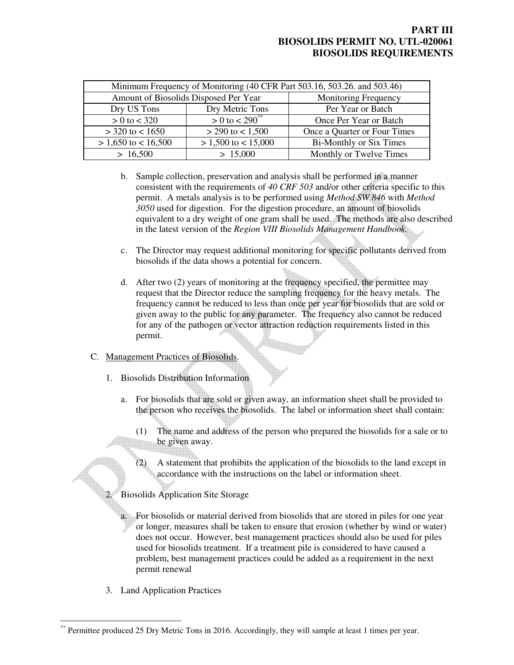| Minimum Frequency of Monitoring (40 CFR Part 503.16, 503.26. and 503.46) |                                     |                                |  |
|--------------------------------------------------------------------------|-------------------------------------|--------------------------------|--|
| Amount of Biosolids Disposed Per Year                                    |                                     | <b>Monitoring Frequency</b>    |  |
| Dry US Tons                                                              | Dry Metric Tons                     | Per Year or Batch              |  |
| $> 0$ to $< 320$                                                         | $> 0$ to $\sqrt{290}$ <sup>**</sup> | Once Per Year or Batch         |  |
| $>$ 320 to < 1650                                                        | $>$ 290 to $<$ 1,500                | Once a Quarter or Four Times   |  |
| $> 1,650$ to $< 16,500$                                                  | $> 1,500$ to $< 15,000$             | <b>Bi-Monthly or Six Times</b> |  |
| > 16,500                                                                 | > 15,000                            | Monthly or Twelve Times        |  |

- b. Sample collection, preservation and analysis shall be performed in a manner consistent with the requirements of *40 CRF 503* and/or other criteria specific to this permit. A metals analysis is to be performed using *Method SW 846* with *Method 3050* used for digestion. For the digestion procedure, an amount of biosolids equivalent to a dry weight of one gram shall be used. The methods are also described in the latest version of the *Region VIII Biosolids Management Handbook.*
- c. The Director may request additional monitoring for specific pollutants derived from biosolids if the data shows a potential for concern.
- d. After two (2) years of monitoring at the frequency specified, the permittee may request that the Director reduce the sampling frequency for the heavy metals. The frequency cannot be reduced to less than once per year for biosolids that are sold or given away to the public for any parameter. The frequency also cannot be reduced for any of the pathogen or vector attraction reduction requirements listed in this permit.

#### C. Management Practices of Biosolids.

- 1. Biosolids Distribution Information
	- a. For biosolids that are sold or given away, an information sheet shall be provided to the person who receives the biosolids. The label or information sheet shall contain:
		- (1) The name and address of the person who prepared the biosolids for a sale or to be given away.
		- (2) A statement that prohibits the application of the biosolids to the land except in accordance with the instructions on the label or information sheet.
	- 2. Biosolids Application Site Storage
		- For biosolids or material derived from biosolids that are stored in piles for one year or longer, measures shall be taken to ensure that erosion (whether by wind or water) does not occur. However, best management practices should also be used for piles used for biosolids treatment. If a treatment pile is considered to have caused a problem, best management practices could be added as a requirement in the next permit renewal
- 3. Land Application Practices

 $\overline{a}$ <sup>\*</sup> Permittee produced 25 Dry Metric Tons in 2016. Accordingly, they will sample at least 1 times per year.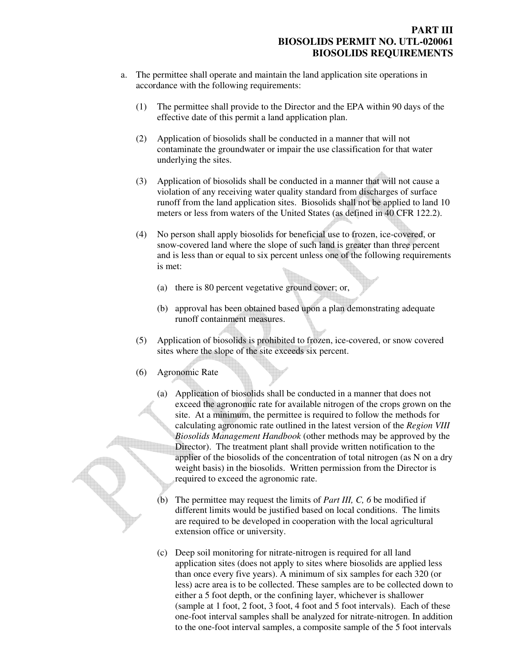- a. The permittee shall operate and maintain the land application site operations in accordance with the following requirements:
	- (1) The permittee shall provide to the Director and the EPA within 90 days of the effective date of this permit a land application plan.
	- (2) Application of biosolids shall be conducted in a manner that will not contaminate the groundwater or impair the use classification for that water underlying the sites.
	- (3) Application of biosolids shall be conducted in a manner that will not cause a violation of any receiving water quality standard from discharges of surface runoff from the land application sites. Biosolids shall not be applied to land 10 meters or less from waters of the United States (as defined in 40 CFR 122.2).
	- (4) No person shall apply biosolids for beneficial use to frozen, ice-covered, or snow-covered land where the slope of such land is greater than three percent and is less than or equal to six percent unless one of the following requirements is met:
		- (a) there is 80 percent vegetative ground cover; or,
		- (b) approval has been obtained based upon a plan demonstrating adequate runoff containment measures.
	- (5) Application of biosolids is prohibited to frozen, ice-covered, or snow covered sites where the slope of the site exceeds six percent.
	- (6) Agronomic Rate
		- (a) Application of biosolids shall be conducted in a manner that does not exceed the agronomic rate for available nitrogen of the crops grown on the site. At a minimum, the permittee is required to follow the methods for calculating agronomic rate outlined in the latest version of the *Region VIII Biosolids Management Handbook* (other methods may be approved by the Director). The treatment plant shall provide written notification to the applier of the biosolids of the concentration of total nitrogen (as N on a dry weight basis) in the biosolids. Written permission from the Director is required to exceed the agronomic rate.
		- (b) The permittee may request the limits of *Part III, C, 6* be modified if different limits would be justified based on local conditions. The limits are required to be developed in cooperation with the local agricultural extension office or university.
		- (c) Deep soil monitoring for nitrate-nitrogen is required for all land application sites (does not apply to sites where biosolids are applied less than once every five years). A minimum of six samples for each 320 (or less) acre area is to be collected. These samples are to be collected down to either a 5 foot depth, or the confining layer, whichever is shallower (sample at 1 foot, 2 foot, 3 foot, 4 foot and 5 foot intervals). Each of these one-foot interval samples shall be analyzed for nitrate-nitrogen. In addition to the one-foot interval samples, a composite sample of the 5 foot intervals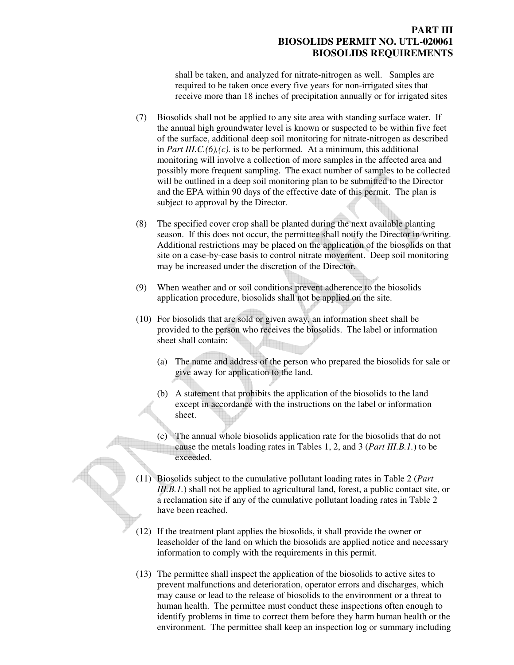shall be taken, and analyzed for nitrate-nitrogen as well. Samples are required to be taken once every five years for non-irrigated sites that receive more than 18 inches of precipitation annually or for irrigated sites

- (7) Biosolids shall not be applied to any site area with standing surface water. If the annual high groundwater level is known or suspected to be within five feet of the surface, additional deep soil monitoring for nitrate-nitrogen as described in *Part III.C.*(6),(c). is to be performed. At a minimum, this additional monitoring will involve a collection of more samples in the affected area and possibly more frequent sampling. The exact number of samples to be collected will be outlined in a deep soil monitoring plan to be submitted to the Director and the EPA within 90 days of the effective date of this permit. The plan is subject to approval by the Director.
- (8) The specified cover crop shall be planted during the next available planting season. If this does not occur, the permittee shall notify the Director in writing. Additional restrictions may be placed on the application of the biosolids on that site on a case-by-case basis to control nitrate movement. Deep soil monitoring may be increased under the discretion of the Director.
- (9) When weather and or soil conditions prevent adherence to the biosolids application procedure, biosolids shall not be applied on the site.
- (10) For biosolids that are sold or given away, an information sheet shall be provided to the person who receives the biosolids. The label or information sheet shall contain:
	- (a) The name and address of the person who prepared the biosolids for sale or give away for application to the land.
	- (b) A statement that prohibits the application of the biosolids to the land except in accordance with the instructions on the label or information sheet.
	- (c) The annual whole biosolids application rate for the biosolids that do not cause the metals loading rates in Tables 1, 2, and 3 (*Part III.B.1.*) to be exceeded.
- (11) Biosolids subject to the cumulative pollutant loading rates in Table 2 (*Part III.B.1.*) shall not be applied to agricultural land, forest, a public contact site, or a reclamation site if any of the cumulative pollutant loading rates in Table 2 have been reached.
- (12) If the treatment plant applies the biosolids, it shall provide the owner or leaseholder of the land on which the biosolids are applied notice and necessary information to comply with the requirements in this permit.
- (13) The permittee shall inspect the application of the biosolids to active sites to prevent malfunctions and deterioration, operator errors and discharges, which may cause or lead to the release of biosolids to the environment or a threat to human health. The permittee must conduct these inspections often enough to identify problems in time to correct them before they harm human health or the environment. The permittee shall keep an inspection log or summary including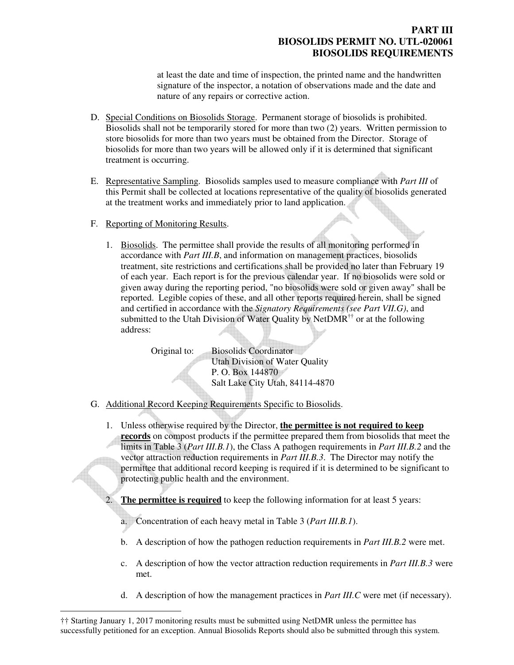at least the date and time of inspection, the printed name and the handwritten signature of the inspector, a notation of observations made and the date and nature of any repairs or corrective action.

- D. Special Conditions on Biosolids Storage. Permanent storage of biosolids is prohibited. Biosolids shall not be temporarily stored for more than two (2) years. Written permission to store biosolids for more than two years must be obtained from the Director. Storage of biosolids for more than two years will be allowed only if it is determined that significant treatment is occurring.
- E. Representative Sampling. Biosolids samples used to measure compliance with *Part III* of this Permit shall be collected at locations representative of the quality of biosolids generated at the treatment works and immediately prior to land application.
- F. Reporting of Monitoring Results.

 $\overline{a}$ 

1. Biosolids. The permittee shall provide the results of all monitoring performed in accordance with *Part III.B*, and information on management practices, biosolids treatment, site restrictions and certifications shall be provided no later than February 19 of each year. Each report is for the previous calendar year. If no biosolids were sold or given away during the reporting period, "no biosolids were sold or given away" shall be reported. Legible copies of these, and all other reports required herein, shall be signed and certified in accordance with the *Signatory Requirements (see Part VII.G)*, and submitted to the Utah Division of Water Quality by Net $DMR^{\dagger\dagger}$  or at the following address:

> Original to: Biosolids Coordinator Utah Division of Water Quality P. O. Box 144870 Salt Lake City Utah, 84114-4870

- G. Additional Record Keeping Requirements Specific to Biosolids.
	- 1. Unless otherwise required by the Director, **the permittee is not required to keep records** on compost products if the permittee prepared them from biosolids that meet the limits in Table 3 (*Part III.B.1*), the Class A pathogen requirements in *Part III.B.2* and the vector attraction reduction requirements in *Part III.B.3*. The Director may notify the permittee that additional record keeping is required if it is determined to be significant to protecting public health and the environment.
		- **The permittee is required** to keep the following information for at least 5 years:
		- a. Concentration of each heavy metal in Table 3 (*Part III.B.1*).
		- b. A description of how the pathogen reduction requirements in *Part III.B.2* were met.
		- c. A description of how the vector attraction reduction requirements in *Part III.B.3* were met.
		- d. A description of how the management practices in *Part III.C* were met (if necessary).

<sup>††</sup> Starting January 1, 2017 monitoring results must be submitted using NetDMR unless the permittee has successfully petitioned for an exception. Annual Biosolids Reports should also be submitted through this system.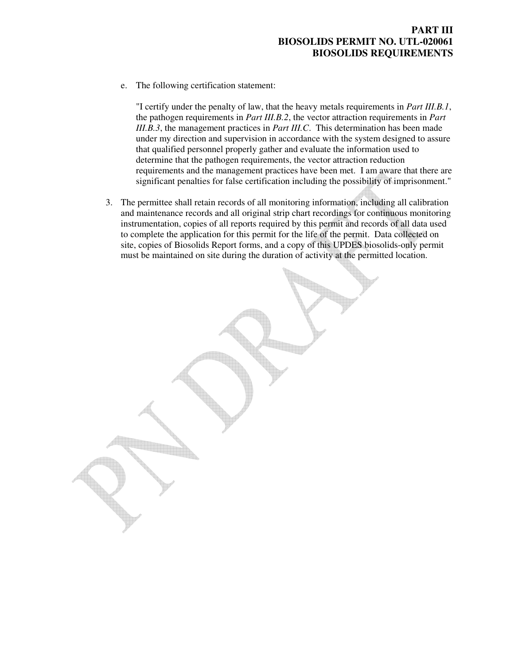e. The following certification statement:

"I certify under the penalty of law, that the heavy metals requirements in *Part III.B.1*, the pathogen requirements in *Part III.B.2*, the vector attraction requirements in *Part III.B.3*, the management practices in *Part III.C*. This determination has been made under my direction and supervision in accordance with the system designed to assure that qualified personnel properly gather and evaluate the information used to determine that the pathogen requirements, the vector attraction reduction requirements and the management practices have been met. I am aware that there are significant penalties for false certification including the possibility of imprisonment."

3. The permittee shall retain records of all monitoring information, including all calibration and maintenance records and all original strip chart recordings for continuous monitoring instrumentation, copies of all reports required by this permit and records of all data used to complete the application for this permit for the life of the permit. Data collected on site, copies of Biosolids Report forms, and a copy of this UPDES biosolids-only permit must be maintained on site during the duration of activity at the permitted location.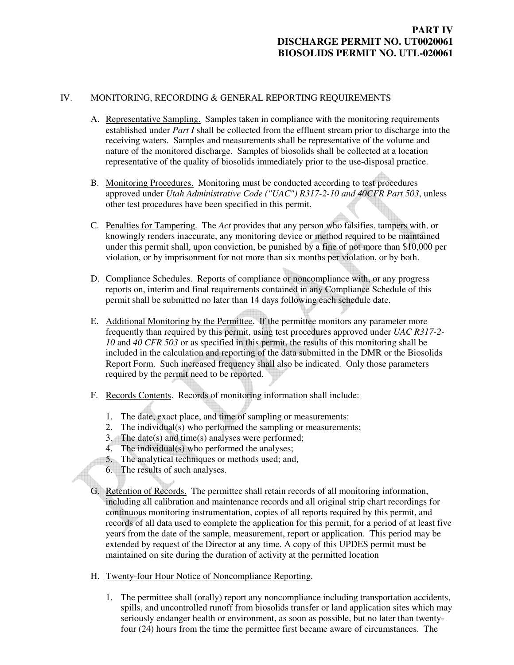# **PART IV DISCHARGE PERMIT NO. UT0020061 BIOSOLIDS PERMIT NO. UTL-020061**

#### IV. MONITORING, RECORDING & GENERAL REPORTING REQUIREMENTS

- A. Representative Sampling. Samples taken in compliance with the monitoring requirements established under *Part I* shall be collected from the effluent stream prior to discharge into the receiving waters. Samples and measurements shall be representative of the volume and nature of the monitored discharge. Samples of biosolids shall be collected at a location representative of the quality of biosolids immediately prior to the use-disposal practice.
- B. Monitoring Procedures. Monitoring must be conducted according to test procedures approved under *Utah Administrative Code ("UAC") R317-2-10 and 40CFR Part 503*, unless other test procedures have been specified in this permit.
- C. Penalties for Tampering. The *Act* provides that any person who falsifies, tampers with, or knowingly renders inaccurate, any monitoring device or method required to be maintained under this permit shall, upon conviction, be punished by a fine of not more than \$10,000 per violation, or by imprisonment for not more than six months per violation, or by both.
- D. Compliance Schedules. Reports of compliance or noncompliance with, or any progress reports on, interim and final requirements contained in any Compliance Schedule of this permit shall be submitted no later than 14 days following each schedule date.
- E. Additional Monitoring by the Permittee. If the permittee monitors any parameter more frequently than required by this permit, using test procedures approved under *UAC R317-2- 10* and *40 CFR 503* or as specified in this permit, the results of this monitoring shall be included in the calculation and reporting of the data submitted in the DMR or the Biosolids Report Form. Such increased frequency shall also be indicated. Only those parameters required by the permit need to be reported.
- F. Records Contents. Records of monitoring information shall include:
	- 1. The date, exact place, and time of sampling or measurements:
	- 2. The individual(s) who performed the sampling or measurements;
	- 3. The date(s) and time(s) analyses were performed;
	- 4. The individual(s) who performed the analyses;
	- 5. The analytical techniques or methods used; and,
	- 6. The results of such analyses.
- G. Retention of Records. The permittee shall retain records of all monitoring information, including all calibration and maintenance records and all original strip chart recordings for continuous monitoring instrumentation, copies of all reports required by this permit, and records of all data used to complete the application for this permit, for a period of at least five years from the date of the sample, measurement, report or application. This period may be extended by request of the Director at any time. A copy of this UPDES permit must be maintained on site during the duration of activity at the permitted location
- H. Twenty-four Hour Notice of Noncompliance Reporting.
	- 1. The permittee shall (orally) report any noncompliance including transportation accidents, spills, and uncontrolled runoff from biosolids transfer or land application sites which may seriously endanger health or environment, as soon as possible, but no later than twentyfour (24) hours from the time the permittee first became aware of circumstances. The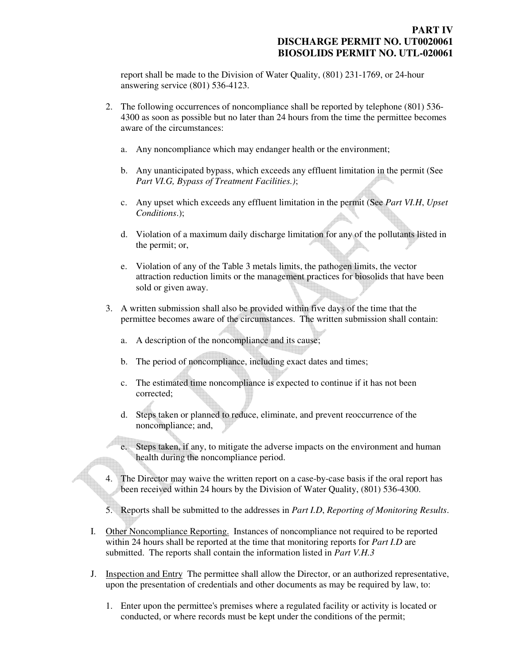report shall be made to the Division of Water Quality, (801) 231-1769, or 24-hour answering service (801) 536-4123.

- 2. The following occurrences of noncompliance shall be reported by telephone (801) 536- 4300 as soon as possible but no later than 24 hours from the time the permittee becomes aware of the circumstances:
	- a. Any noncompliance which may endanger health or the environment;
	- b. Any unanticipated bypass, which exceeds any effluent limitation in the permit (See *Part VI.G, Bypass of Treatment Facilities.)*;
	- c. Any upset which exceeds any effluent limitation in the permit (See *Part VI.H*, *Upset Conditions*.);
	- d. Violation of a maximum daily discharge limitation for any of the pollutants listed in the permit; or,
	- e. Violation of any of the Table 3 metals limits, the pathogen limits, the vector attraction reduction limits or the management practices for biosolids that have been sold or given away.
- 3. A written submission shall also be provided within five days of the time that the permittee becomes aware of the circumstances. The written submission shall contain:
	- a. A description of the noncompliance and its cause;
	- b. The period of noncompliance, including exact dates and times;
	- c. The estimated time noncompliance is expected to continue if it has not been corrected;
	- d. Steps taken or planned to reduce, eliminate, and prevent reoccurrence of the noncompliance; and,
	- e. Steps taken, if any, to mitigate the adverse impacts on the environment and human health during the noncompliance period.
- The Director may waive the written report on a case-by-case basis if the oral report has been received within 24 hours by the Division of Water Quality, (801) 536-4300.
- 5. Reports shall be submitted to the addresses in *Part I.D*, *Reporting of Monitoring Results*.
- I. Other Noncompliance Reporting. Instances of noncompliance not required to be reported within 24 hours shall be reported at the time that monitoring reports for *Part I.D* are submitted. The reports shall contain the information listed in *Part V.H.3*
- J. Inspection and Entry The permittee shall allow the Director, or an authorized representative, upon the presentation of credentials and other documents as may be required by law, to:
	- 1. Enter upon the permittee's premises where a regulated facility or activity is located or conducted, or where records must be kept under the conditions of the permit;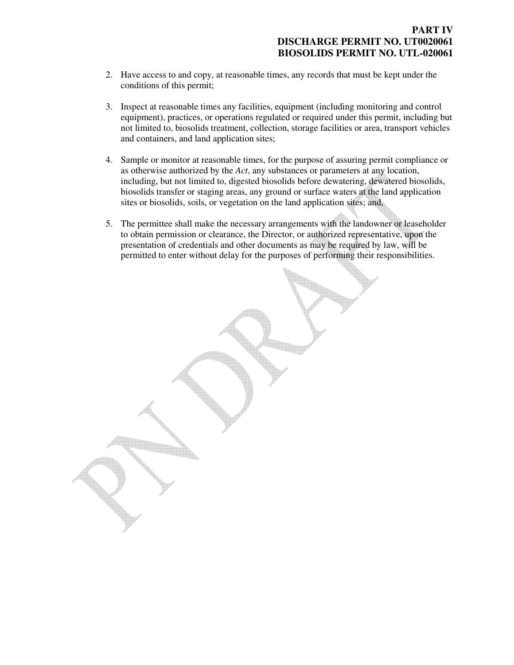### **PART IV DISCHARGE PERMIT NO. UT0020061 BIOSOLIDS PERMIT NO. UTL-020061**

- 2. Have access to and copy, at reasonable times, any records that must be kept under the conditions of this permit;
- 3. Inspect at reasonable times any facilities, equipment (including monitoring and control equipment), practices, or operations regulated or required under this permit, including but not limited to, biosolids treatment, collection, storage facilities or area, transport vehicles and containers, and land application sites;
- 4. Sample or monitor at reasonable times, for the purpose of assuring permit compliance or as otherwise authorized by the *Act*, any substances or parameters at any location, including, but not limited to, digested biosolids before dewatering, dewatered biosolids, biosolids transfer or staging areas, any ground or surface waters at the land application sites or biosolids, soils, or vegetation on the land application sites; and,
- 5. The permittee shall make the necessary arrangements with the landowner or leaseholder to obtain permission or clearance, the Director, or authorized representative, upon the presentation of credentials and other documents as may be required by law, will be permitted to enter without delay for the purposes of performing their responsibilities.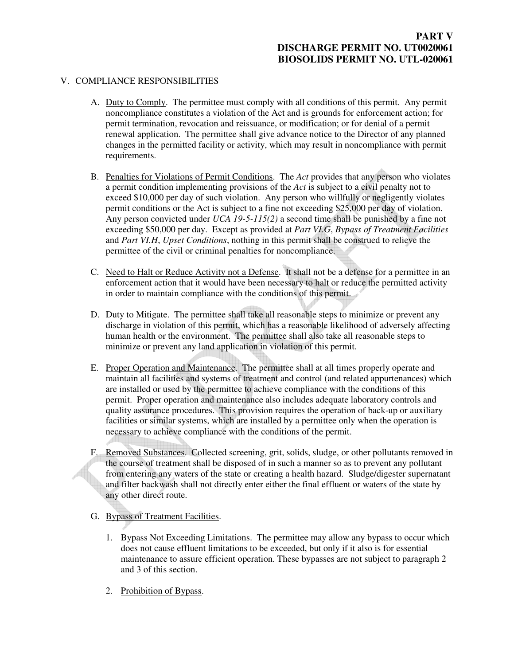### V. COMPLIANCE RESPONSIBILITIES

- A. Duty to Comply. The permittee must comply with all conditions of this permit. Any permit noncompliance constitutes a violation of the Act and is grounds for enforcement action; for permit termination, revocation and reissuance, or modification; or for denial of a permit renewal application. The permittee shall give advance notice to the Director of any planned changes in the permitted facility or activity, which may result in noncompliance with permit requirements.
- B. Penalties for Violations of Permit Conditions. The *Act* provides that any person who violates a permit condition implementing provisions of the *Act* is subject to a civil penalty not to exceed \$10,000 per day of such violation. Any person who willfully or negligently violates permit conditions or the Act is subject to a fine not exceeding \$25,000 per day of violation. Any person convicted under *UCA 19-5-115(2)* a second time shall be punished by a fine not exceeding \$50,000 per day. Except as provided at *Part VI.G*, *Bypass of Treatment Facilities* and *Part VI.H*, *Upset Conditions*, nothing in this permit shall be construed to relieve the permittee of the civil or criminal penalties for noncompliance.
- C. Need to Halt or Reduce Activity not a Defense. It shall not be a defense for a permittee in an enforcement action that it would have been necessary to halt or reduce the permitted activity in order to maintain compliance with the conditions of this permit.
- D. Duty to Mitigate. The permittee shall take all reasonable steps to minimize or prevent any discharge in violation of this permit, which has a reasonable likelihood of adversely affecting human health or the environment. The permittee shall also take all reasonable steps to minimize or prevent any land application in violation of this permit.
- E. Proper Operation and Maintenance. The permittee shall at all times properly operate and maintain all facilities and systems of treatment and control (and related appurtenances) which are installed or used by the permittee to achieve compliance with the conditions of this permit. Proper operation and maintenance also includes adequate laboratory controls and quality assurance procedures. This provision requires the operation of back-up or auxiliary facilities or similar systems, which are installed by a permittee only when the operation is necessary to achieve compliance with the conditions of the permit.
- F. Removed Substances. Collected screening, grit, solids, sludge, or other pollutants removed in the course of treatment shall be disposed of in such a manner so as to prevent any pollutant from entering any waters of the state or creating a health hazard. Sludge/digester supernatant and filter backwash shall not directly enter either the final effluent or waters of the state by any other direct route.
- G. Bypass of Treatment Facilities.
	- 1. Bypass Not Exceeding Limitations. The permittee may allow any bypass to occur which does not cause effluent limitations to be exceeded, but only if it also is for essential maintenance to assure efficient operation. These bypasses are not subject to paragraph 2 and 3 of this section.
	- 2. Prohibition of Bypass.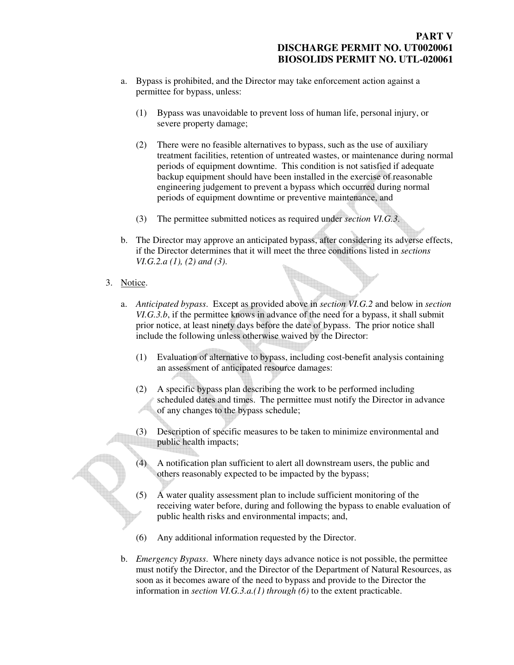- a. Bypass is prohibited, and the Director may take enforcement action against a permittee for bypass, unless:
	- (1) Bypass was unavoidable to prevent loss of human life, personal injury, or severe property damage;
	- (2) There were no feasible alternatives to bypass, such as the use of auxiliary treatment facilities, retention of untreated wastes, or maintenance during normal periods of equipment downtime. This condition is not satisfied if adequate backup equipment should have been installed in the exercise of reasonable engineering judgement to prevent a bypass which occurred during normal periods of equipment downtime or preventive maintenance, and
	- (3) The permittee submitted notices as required under *section VI.G.3*.
- b. The Director may approve an anticipated bypass, after considering its adverse effects, if the Director determines that it will meet the three conditions listed in *sections VI.G.2.a (1), (2) and (3)*.
- 3. Notice.
	- a. *Anticipated bypass*. Except as provided above in *section VI.G.2* and below in *section VI.G.3.b*, if the permittee knows in advance of the need for a bypass, it shall submit prior notice, at least ninety days before the date of bypass. The prior notice shall include the following unless otherwise waived by the Director:
		- (1) Evaluation of alternative to bypass, including cost-benefit analysis containing an assessment of anticipated resource damages:
		- (2) A specific bypass plan describing the work to be performed including scheduled dates and times. The permittee must notify the Director in advance of any changes to the bypass schedule;
		- (3) Description of specific measures to be taken to minimize environmental and public health impacts;
		- (4) A notification plan sufficient to alert all downstream users, the public and others reasonably expected to be impacted by the bypass;
		- (5) A water quality assessment plan to include sufficient monitoring of the receiving water before, during and following the bypass to enable evaluation of public health risks and environmental impacts; and,
		- (6) Any additional information requested by the Director.
	- b. *Emergency Bypass*. Where ninety days advance notice is not possible, the permittee must notify the Director, and the Director of the Department of Natural Resources, as soon as it becomes aware of the need to bypass and provide to the Director the information in *section VI.G.3.a.(1) through (6)* to the extent practicable.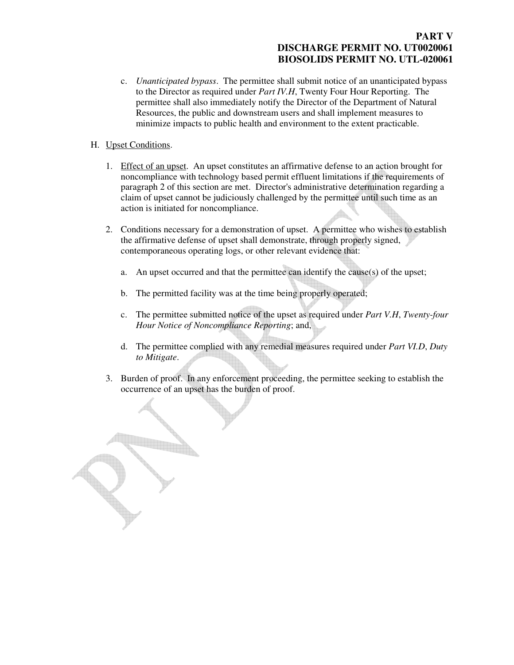# **PART V DISCHARGE PERMIT NO. UT0020061 BIOSOLIDS PERMIT NO. UTL-020061**

- c. *Unanticipated bypass*. The permittee shall submit notice of an unanticipated bypass to the Director as required under *Part IV.H*, Twenty Four Hour Reporting. The permittee shall also immediately notify the Director of the Department of Natural Resources, the public and downstream users and shall implement measures to minimize impacts to public health and environment to the extent practicable.
- H. Upset Conditions.
	- 1. Effect of an upset. An upset constitutes an affirmative defense to an action brought for noncompliance with technology based permit effluent limitations if the requirements of paragraph 2 of this section are met. Director's administrative determination regarding a claim of upset cannot be judiciously challenged by the permittee until such time as an action is initiated for noncompliance.
	- 2. Conditions necessary for a demonstration of upset. A permittee who wishes to establish the affirmative defense of upset shall demonstrate, through properly signed, contemporaneous operating logs, or other relevant evidence that:
		- a. An upset occurred and that the permittee can identify the cause(s) of the upset;
		- b. The permitted facility was at the time being properly operated;
		- c. The permittee submitted notice of the upset as required under *Part V.H*, *Twenty-four Hour Notice of Noncompliance Reporting*; and,
		- d. The permittee complied with any remedial measures required under *Part VI.D*, *Duty to Mitigate*.
	- 3. Burden of proof. In any enforcement proceeding, the permittee seeking to establish the occurrence of an upset has the burden of proof.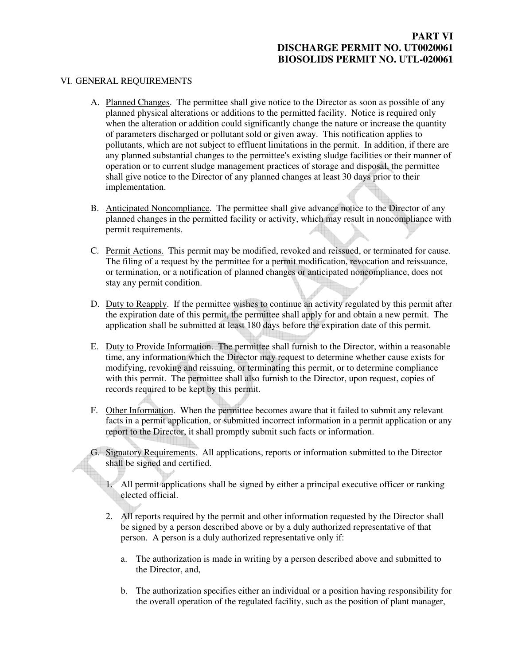# **PART VI DISCHARGE PERMIT NO. UT0020061 BIOSOLIDS PERMIT NO. UTL-020061**

#### VI. GENERAL REQUIREMENTS

- A. Planned Changes. The permittee shall give notice to the Director as soon as possible of any planned physical alterations or additions to the permitted facility. Notice is required only when the alteration or addition could significantly change the nature or increase the quantity of parameters discharged or pollutant sold or given away. This notification applies to pollutants, which are not subject to effluent limitations in the permit. In addition, if there are any planned substantial changes to the permittee's existing sludge facilities or their manner of operation or to current sludge management practices of storage and disposal, the permittee shall give notice to the Director of any planned changes at least 30 days prior to their implementation.
- B. Anticipated Noncompliance. The permittee shall give advance notice to the Director of any planned changes in the permitted facility or activity, which may result in noncompliance with permit requirements.
- C. Permit Actions. This permit may be modified, revoked and reissued, or terminated for cause. The filing of a request by the permittee for a permit modification, revocation and reissuance, or termination, or a notification of planned changes or anticipated noncompliance, does not stay any permit condition.
- D. Duty to Reapply. If the permittee wishes to continue an activity regulated by this permit after the expiration date of this permit, the permittee shall apply for and obtain a new permit. The application shall be submitted at least 180 days before the expiration date of this permit.
- E. Duty to Provide Information. The permittee shall furnish to the Director, within a reasonable time, any information which the Director may request to determine whether cause exists for modifying, revoking and reissuing, or terminating this permit, or to determine compliance with this permit. The permittee shall also furnish to the Director, upon request, copies of records required to be kept by this permit.
- F. Other Information. When the permittee becomes aware that it failed to submit any relevant facts in a permit application, or submitted incorrect information in a permit application or any report to the Director, it shall promptly submit such facts or information.
- G. Signatory Requirements. All applications, reports or information submitted to the Director shall be signed and certified.
	- 1. All permit applications shall be signed by either a principal executive officer or ranking elected official.
	- 2. All reports required by the permit and other information requested by the Director shall be signed by a person described above or by a duly authorized representative of that person. A person is a duly authorized representative only if:
		- a. The authorization is made in writing by a person described above and submitted to the Director, and,
		- b. The authorization specifies either an individual or a position having responsibility for the overall operation of the regulated facility, such as the position of plant manager,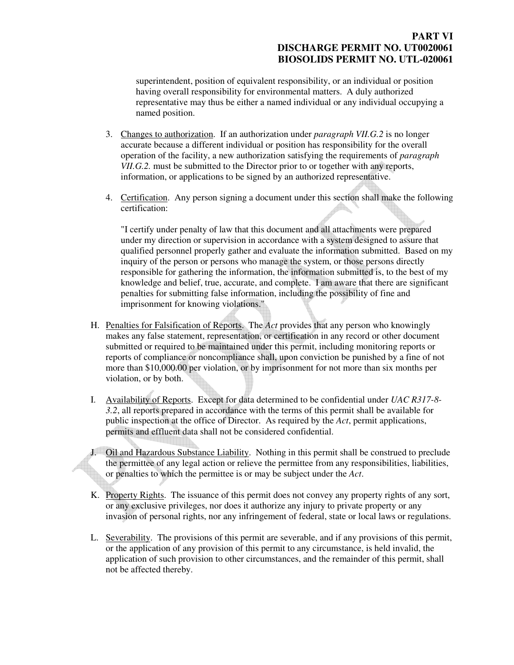# **PART VI DISCHARGE PERMIT NO. UT0020061 BIOSOLIDS PERMIT NO. UTL-020061**

superintendent, position of equivalent responsibility, or an individual or position having overall responsibility for environmental matters. A duly authorized representative may thus be either a named individual or any individual occupying a named position.

- 3. Changes to authorization. If an authorization under *paragraph VII.G.2* is no longer accurate because a different individual or position has responsibility for the overall operation of the facility, a new authorization satisfying the requirements of *paragraph VII.G.2.* must be submitted to the Director prior to or together with any reports, information, or applications to be signed by an authorized representative.
- 4. Certification. Any person signing a document under this section shall make the following certification:

"I certify under penalty of law that this document and all attachments were prepared under my direction or supervision in accordance with a system designed to assure that qualified personnel properly gather and evaluate the information submitted. Based on my inquiry of the person or persons who manage the system, or those persons directly responsible for gathering the information, the information submitted is, to the best of my knowledge and belief, true, accurate, and complete. I am aware that there are significant penalties for submitting false information, including the possibility of fine and imprisonment for knowing violations."

- H. Penalties for Falsification of Reports. The *Act* provides that any person who knowingly makes any false statement, representation, or certification in any record or other document submitted or required to be maintained under this permit, including monitoring reports or reports of compliance or noncompliance shall, upon conviction be punished by a fine of not more than \$10,000.00 per violation, or by imprisonment for not more than six months per violation, or by both.
- I. Availability of Reports. Except for data determined to be confidential under *UAC R317-8- 3.2*, all reports prepared in accordance with the terms of this permit shall be available for public inspection at the office of Director. As required by the *Act*, permit applications, permits and effluent data shall not be considered confidential.
- J. Oil and Hazardous Substance Liability. Nothing in this permit shall be construed to preclude the permittee of any legal action or relieve the permittee from any responsibilities, liabilities, or penalties to which the permittee is or may be subject under the *Act*.
- K. Property Rights. The issuance of this permit does not convey any property rights of any sort, or any exclusive privileges, nor does it authorize any injury to private property or any invasion of personal rights, nor any infringement of federal, state or local laws or regulations.
- L. Severability. The provisions of this permit are severable, and if any provisions of this permit, or the application of any provision of this permit to any circumstance, is held invalid, the application of such provision to other circumstances, and the remainder of this permit, shall not be affected thereby.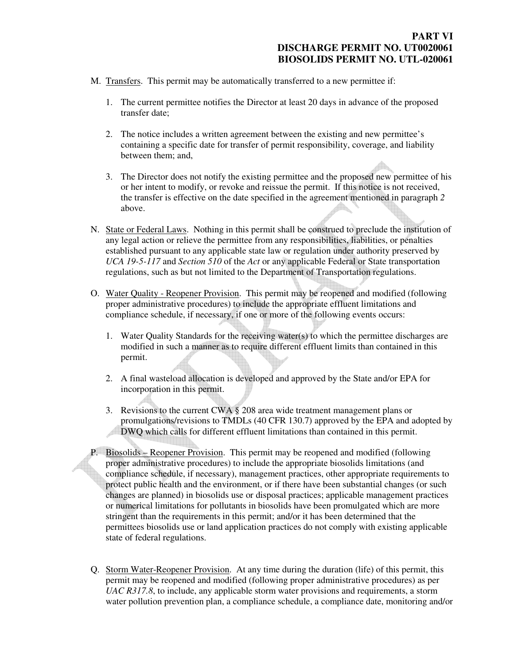- M. Transfers. This permit may be automatically transferred to a new permittee if:
	- 1. The current permittee notifies the Director at least 20 days in advance of the proposed transfer date;
	- 2. The notice includes a written agreement between the existing and new permittee's containing a specific date for transfer of permit responsibility, coverage, and liability between them; and,
	- 3. The Director does not notify the existing permittee and the proposed new permittee of his or her intent to modify, or revoke and reissue the permit. If this notice is not received, the transfer is effective on the date specified in the agreement mentioned in paragraph *2* above.
- N. State or Federal Laws. Nothing in this permit shall be construed to preclude the institution of any legal action or relieve the permittee from any responsibilities, liabilities, or penalties established pursuant to any applicable state law or regulation under authority preserved by *UCA 19-5-117* and *Section 510* of the *Act* or any applicable Federal or State transportation regulations, such as but not limited to the Department of Transportation regulations.
- O. Water Quality Reopener Provision. This permit may be reopened and modified (following proper administrative procedures) to include the appropriate effluent limitations and compliance schedule, if necessary, if one or more of the following events occurs:
	- 1. Water Quality Standards for the receiving water(s) to which the permittee discharges are modified in such a manner as to require different effluent limits than contained in this permit.
	- 2. A final wasteload allocation is developed and approved by the State and/or EPA for incorporation in this permit.
	- 3. Revisions to the current CWA  $\S$  208 area wide treatment management plans or promulgations/revisions to TMDLs (40 CFR 130.7) approved by the EPA and adopted by DWQ which calls for different effluent limitations than contained in this permit.
- P. Biosolids Reopener Provision. This permit may be reopened and modified (following proper administrative procedures) to include the appropriate biosolids limitations (and compliance schedule, if necessary), management practices, other appropriate requirements to protect public health and the environment, or if there have been substantial changes (or such changes are planned) in biosolids use or disposal practices; applicable management practices or numerical limitations for pollutants in biosolids have been promulgated which are more stringent than the requirements in this permit; and/or it has been determined that the permittees biosolids use or land application practices do not comply with existing applicable state of federal regulations.
- Q. Storm Water-Reopener Provision. At any time during the duration (life) of this permit, this permit may be reopened and modified (following proper administrative procedures) as per *UAC R317.8*, to include, any applicable storm water provisions and requirements, a storm water pollution prevention plan, a compliance schedule, a compliance date, monitoring and/or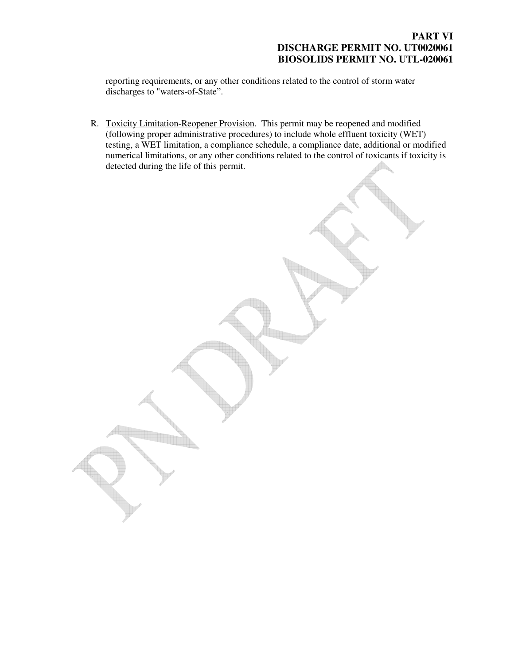### **PART VI DISCHARGE PERMIT NO. UT0020061 BIOSOLIDS PERMIT NO. UTL-020061**

reporting requirements, or any other conditions related to the control of storm water discharges to "waters-of-State".

R. Toxicity Limitation-Reopener Provision. This permit may be reopened and modified (following proper administrative procedures) to include whole effluent toxicity (WET) testing, a WET limitation, a compliance schedule, a compliance date, additional or modified numerical limitations, or any other conditions related to the control of toxicants if toxicity is detected during the life of this permit.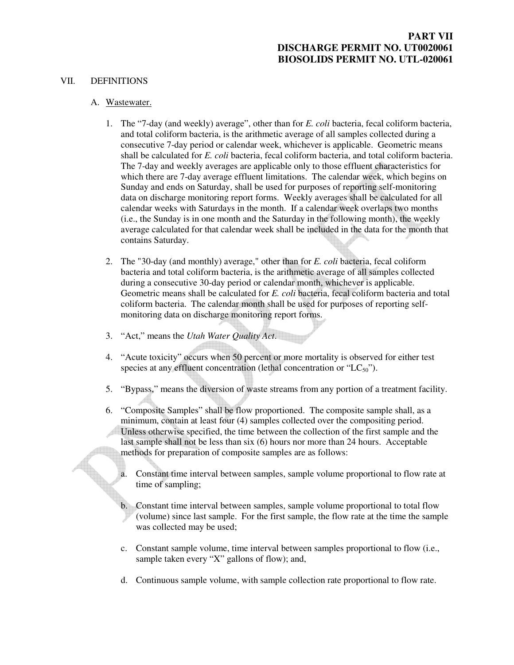# **PART VII DISCHARGE PERMIT NO. UT0020061 BIOSOLIDS PERMIT NO. UTL-020061**

#### VII. DEFINITIONS

#### A. Wastewater.

- 1. The "7-day (and weekly) average", other than for *E. coli* bacteria, fecal coliform bacteria, and total coliform bacteria, is the arithmetic average of all samples collected during a consecutive 7-day period or calendar week, whichever is applicable. Geometric means shall be calculated for *E. coli* bacteria, fecal coliform bacteria, and total coliform bacteria. The 7-day and weekly averages are applicable only to those effluent characteristics for which there are 7-day average effluent limitations. The calendar week, which begins on Sunday and ends on Saturday, shall be used for purposes of reporting self-monitoring data on discharge monitoring report forms. Weekly averages shall be calculated for all calendar weeks with Saturdays in the month. If a calendar week overlaps two months (i.e., the Sunday is in one month and the Saturday in the following month), the weekly average calculated for that calendar week shall be included in the data for the month that contains Saturday.
- 2. The "30-day (and monthly) average," other than for *E. coli* bacteria, fecal coliform bacteria and total coliform bacteria, is the arithmetic average of all samples collected during a consecutive 30-day period or calendar month, whichever is applicable. Geometric means shall be calculated for *E. coli* bacteria, fecal coliform bacteria and total coliform bacteria. The calendar month shall be used for purposes of reporting selfmonitoring data on discharge monitoring report forms.
- 3. "Act," means the *Utah Water Quality Act*.
- 4. "Acute toxicity" occurs when 50 percent or more mortality is observed for either test species at any effluent concentration (lethal concentration or " $LC_{50}$ ").
- 5. "Bypass," means the diversion of waste streams from any portion of a treatment facility.
- 6. "Composite Samples" shall be flow proportioned. The composite sample shall, as a minimum, contain at least four (4) samples collected over the compositing period. Unless otherwise specified, the time between the collection of the first sample and the last sample shall not be less than six (6) hours nor more than 24 hours. Acceptable methods for preparation of composite samples are as follows:
	- a. Constant time interval between samples, sample volume proportional to flow rate at time of sampling;
	- b. Constant time interval between samples, sample volume proportional to total flow (volume) since last sample. For the first sample, the flow rate at the time the sample was collected may be used;
	- c. Constant sample volume, time interval between samples proportional to flow (i.e., sample taken every "X" gallons of flow); and,
	- d. Continuous sample volume, with sample collection rate proportional to flow rate.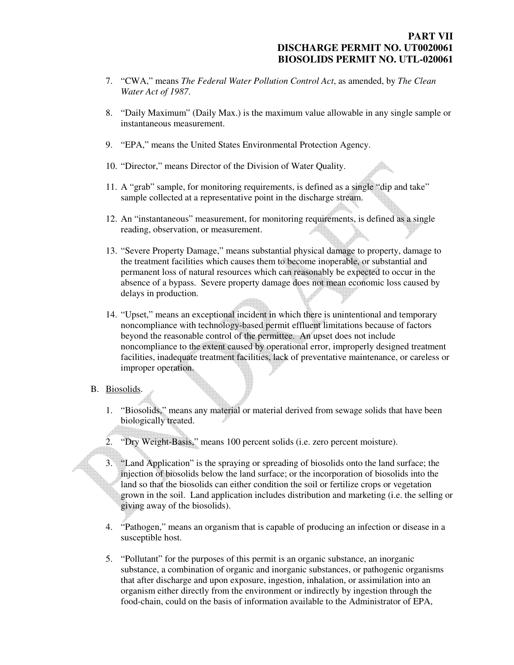$\spadesuit$ 

- 7. "CWA," means *The Federal Water Pollution Control Act*, as amended, by *The Clean Water Act of 1987*.
- 8. "Daily Maximum" (Daily Max.) is the maximum value allowable in any single sample or instantaneous measurement.
- 9. "EPA," means the United States Environmental Protection Agency.
- 10. "Director," means Director of the Division of Water Quality.
- 11. A "grab" sample, for monitoring requirements, is defined as a single "dip and take" sample collected at a representative point in the discharge stream.
- 12. An "instantaneous" measurement, for monitoring requirements, is defined as a single reading, observation, or measurement.
- 13. "Severe Property Damage," means substantial physical damage to property, damage to the treatment facilities which causes them to become inoperable, or substantial and permanent loss of natural resources which can reasonably be expected to occur in the absence of a bypass. Severe property damage does not mean economic loss caused by delays in production.
- 14. "Upset," means an exceptional incident in which there is unintentional and temporary noncompliance with technology-based permit effluent limitations because of factors beyond the reasonable control of the permittee. An upset does not include noncompliance to the extent caused by operational error, improperly designed treatment facilities, inadequate treatment facilities, lack of preventative maintenance, or careless or improper operation.

#### B. Biosolids.

- 1. "Biosolids," means any material or material derived from sewage solids that have been biologically treated.
- 2. "Dry Weight-Basis," means 100 percent solids (i.e. zero percent moisture).
- 3. "Land Application" is the spraying or spreading of biosolids onto the land surface; the injection of biosolids below the land surface; or the incorporation of biosolids into the land so that the biosolids can either condition the soil or fertilize crops or vegetation grown in the soil. Land application includes distribution and marketing (i.e. the selling or giving away of the biosolids).
- 4. "Pathogen," means an organism that is capable of producing an infection or disease in a susceptible host.
- 5. "Pollutant" for the purposes of this permit is an organic substance, an inorganic substance, a combination of organic and inorganic substances, or pathogenic organisms that after discharge and upon exposure, ingestion, inhalation, or assimilation into an organism either directly from the environment or indirectly by ingestion through the food-chain, could on the basis of information available to the Administrator of EPA,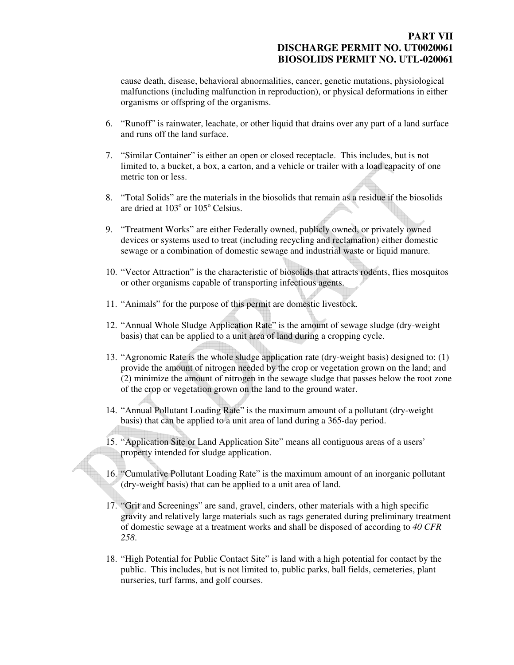### **PART VII DISCHARGE PERMIT NO. UT0020061 BIOSOLIDS PERMIT NO. UTL-020061**

cause death, disease, behavioral abnormalities, cancer, genetic mutations, physiological malfunctions (including malfunction in reproduction), or physical deformations in either organisms or offspring of the organisms.

- 6. "Runoff" is rainwater, leachate, or other liquid that drains over any part of a land surface and runs off the land surface.
- 7. "Similar Container" is either an open or closed receptacle. This includes, but is not limited to, a bucket, a box, a carton, and a vehicle or trailer with a load capacity of one metric ton or less.
- 8. "Total Solids" are the materials in the biosolids that remain as a residue if the biosolids are dried at  $103^\circ$  or  $105^\circ$  Celsius.
- 9. "Treatment Works" are either Federally owned, publicly owned, or privately owned devices or systems used to treat (including recycling and reclamation) either domestic sewage or a combination of domestic sewage and industrial waste or liquid manure.
- 10. "Vector Attraction" is the characteristic of biosolids that attracts rodents, flies mosquitos or other organisms capable of transporting infectious agents.
- 11. "Animals" for the purpose of this permit are domestic livestock.
- 12. "Annual Whole Sludge Application Rate" is the amount of sewage sludge (dry-weight basis) that can be applied to a unit area of land during a cropping cycle.
- 13. "Agronomic Rate is the whole sludge application rate (dry-weight basis) designed to: (1) provide the amount of nitrogen needed by the crop or vegetation grown on the land; and (2) minimize the amount of nitrogen in the sewage sludge that passes below the root zone of the crop or vegetation grown on the land to the ground water.
- 14. "Annual Pollutant Loading Rate" is the maximum amount of a pollutant (dry-weight basis) that can be applied to a unit area of land during a 365-day period.
- 15. "Application Site or Land Application Site" means all contiguous areas of a users' property intended for sludge application.
- 16. "Cumulative Pollutant Loading Rate" is the maximum amount of an inorganic pollutant (dry-weight basis) that can be applied to a unit area of land.
- 17. "Grit and Screenings" are sand, gravel, cinders, other materials with a high specific gravity and relatively large materials such as rags generated during preliminary treatment of domestic sewage at a treatment works and shall be disposed of according to *40 CFR 258*.
- 18. "High Potential for Public Contact Site" is land with a high potential for contact by the public. This includes, but is not limited to, public parks, ball fields, cemeteries, plant nurseries, turf farms, and golf courses.